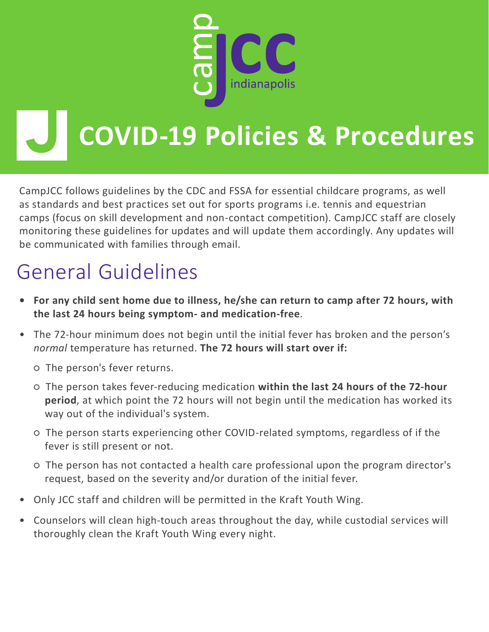

CampJCC follows guidelines by the CDC and FSSA for essential childcare programs, as well as standards and best practices set out for sports programs i.e. tennis and equestrian camps (focus on skill development and non-contact competition). CampJCC staff are closely monitoring these guidelines for updates and will update them accordingly. Any updates will be communicated with families through email.

## General Guidelines

- **• For any child sent home due to illness, he/she can return to camp after 72 hours, with the last 24 hours being symptom- and medication-free**.
- The 72-hour minimum does not begin until the initial fever has broken and the person's *normal* temperature has returned. **The 72 hours will start over if:**

○ The person's fever returns.

- The person takes fever-reducing medication **within the last 24 hours of the 72-hour period**, at which point the 72 hours will not begin until the medication has worked its way out of the individual's system.
- The person starts experiencing other COVID-related symptoms, regardless of if the fever is still present or not.
- The person has not contacted a health care professional upon the program director's request, based on the severity and/or duration of the initial fever.
- Only JCC staff and children will be permitted in the Kraft Youth Wing.
- Counselors will clean high-touch areas throughout the day, while custodial services will thoroughly clean the Kraft Youth Wing every night.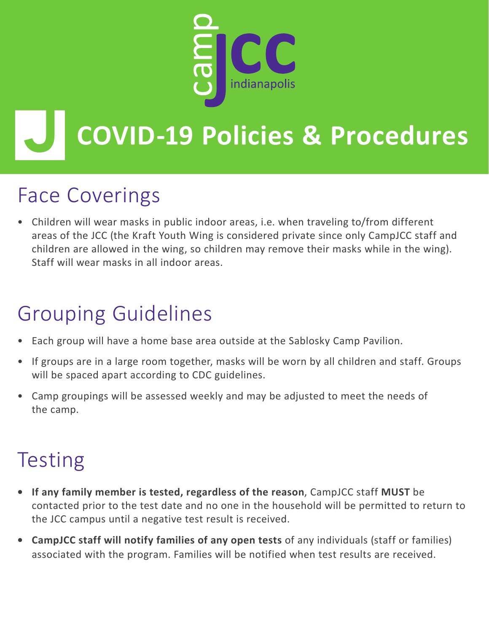

### Face Coverings

• Children will wear masks in public indoor areas, i.e. when traveling to/from different areas of the JCC (the Kraft Youth Wing is considered private since only CampJCC staff and children are allowed in the wing, so children may remove their masks while in the wing). Staff will wear masks in all indoor areas.

## Grouping Guidelines

- Each group will have a home base area outside at the Sablosky Camp Pavilion.
- If groups are in a large room together, masks will be worn by all children and staff. Groups will be spaced apart according to CDC guidelines.
- Camp groupings will be assessed weekly and may be adjusted to meet the needs of the camp.

## Testing

- **• If any family member is tested, regardless of the reason**, CampJCC staff **MUST** be contacted prior to the test date and no one in the household will be permitted to return to the JCC campus until a negative test result is received.
- **• CampJCC staff will notify families of any open tests** of any individuals (staff or families) associated with the program. Families will be notified when test results are received.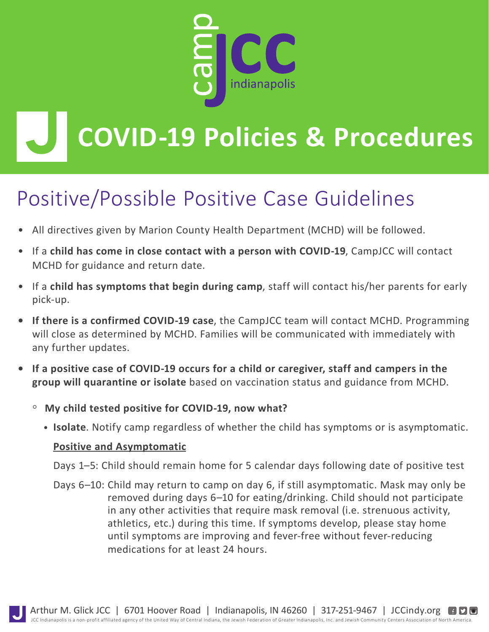

## Positive/Possible Positive Case Guidelines

- All directives given by Marion County Health Department (MCHD) will be followed.
- If a **child has come in close contact with a person with COVID-19**, CampJCC will contact MCHD for guidance and return date.
- If a **child has symptoms that begin during camp**, staff will contact his/her parents for early pick-up.
- **• If there is a confirmed COVID-19 case**, the CampJCC team will contact MCHD. Programming will close as determined by MCHD. Families will be communicated with immediately with any further updates.
- **• If a positive case of COVID-19 occurs for a child or caregiver, staff and campers in the group will quarantine or isolate** based on vaccination status and guidance from MCHD.
	- **My child tested positive for COVID-19, now what?**
		- • **Isolate**. Notify camp regardless of whether the child has symptoms or is asymptomatic.

#### **Positive and Asymptomatic**

Days 1–5: Child should remain home for 5 calendar days following date of positive test

Days 6–10: Child may return to camp on day 6, if still asymptomatic. Mask may only be removed during days 6–10 for eating/drinking. Child should not participate in any other activities that require mask removal (i.e. strenuous activity, athletics, etc.) during this time. If symptoms develop, please stay home until symptoms are improving and fever-free without fever-reducing medications for at least 24 hours.